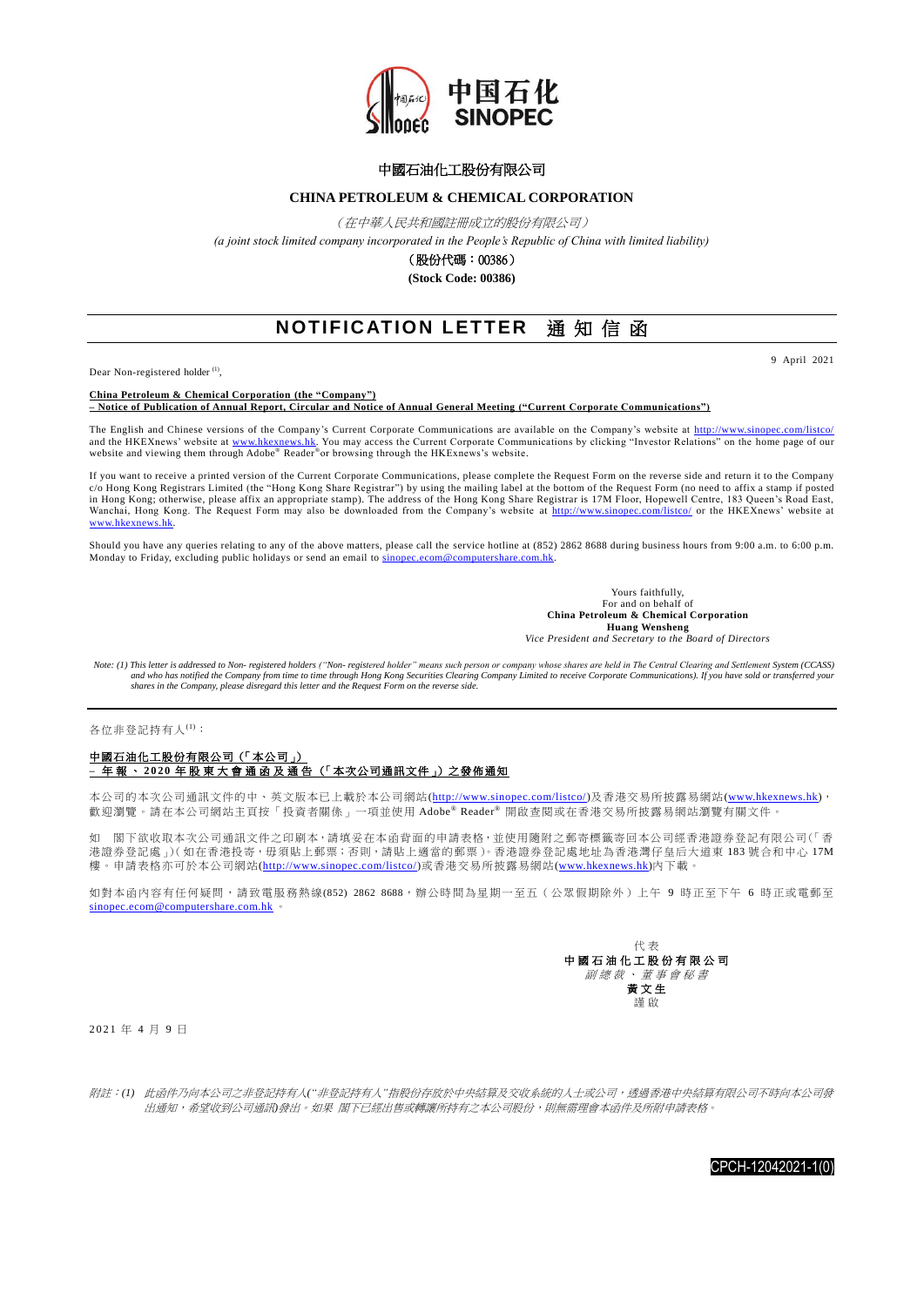

## 中國石油化工股份有限公司

## **CHINA PETROLEUM & CHEMICAL CORPORATION**

(在中華人民共和國註冊成立的股份有限公司)

*(a joint stock limited company incorporated in the People's Republic of China with limited liability)*

(股份代碼:00386)

**(Stock Code: 00386)**

## **NOTIFICATION LETTER** 通 知 信 函

Dear Non-registered holder<sup>(1)</sup>,

9 April 2021

**China Petroleum & Chemical Corporation (the "Company") – Notice of Publication of Annual Report, Circular and Notice of Annual General Meeting ("Current Corporate Communications")**

The English and Chinese versions of the Company's Current Corporate Communications are available on the Company's website at <u>http://www.sinopec.com/listco/</u><br>and the HKEXnews' website at <u>www.hkexnews.hk</u>. You may access t

If you want to receive a printed version of the Current Corporate Communications, please complete the Request Form on the reverse side and return it to the Company<br>c/o Hong Kong Registrars Limited (the "Hong Kong Share Reg in Hong Kong; otherwise, please affix an appropriate stamp). The address of the Hong Kong Share Registrar is 17M Floor, Hopewell Centre, 183 Queen's Road East, Wanchai, Hong Kong. The Request Form may also be downloaded from the Company's website at <http://www.sinopec.com/listco/> or the HKEXnews' website at [www.hkexnews.hk.](http://www.hkexnews.hk/)

Should you have any queries relating to any of the above matters, please call the service hotline at (852) 2862 8688 during business hours from 9:00 a.m. to 6:00 p.m. Monday to Friday, excluding public holidays or send an email to sinopec.ecom@computershare

> Yours faithfully, For and on behalf of **China Petroleum & Chemical Corporation Huang Wensheng** *Vice President and Secretary to the Board of Directors*

*Note: (1) This letter is addressed to Non- registered holders ("Non- registered holder" means such person or company whose shares are held in The Central Clearing and Settlement System (CCASS) and who has notified the Company from time to time through Hong Kong Securities Clearing Company Limited to receive Corporate Communications). If you have sold or transferred your shares in the Company, please disregard this letter and the Request Form on the reverse side.*

各位非登記持有人(1):

## 中國石油化工股份有限公司(「本公司」) **–** 年 報 、 **2 0 2 0** 年 股 東 大 會 通 函 及 通 告 (「本次公司通訊文件」)之發佈通知

本公司的本次公司通訊文件的中、英文版本已上載於本公司網站[\(http://www.sinopec.com/listco/\)](http://www.sinopec.com/listco/)及香港交易所披露易網站[\(www.hkexnews.hk\)](http://www.hkexnews.hk/)[,](http://www.hkexnews.hk），歡迎瀏覽) [歡迎瀏覽。](http://www.hkexnews.hk），歡迎瀏覽)請在本公司網站主頁按「投資者關係」一項並使用 Adobe® Reader® 開啟查閱或在香港交易所披露易網站瀏覽有關文件。

如 閣下欲收取本次公司通訊文件之印刷本,請填妥在本函背面的申請表格,並使用隨附之郵寄標籤寄回本公司經香港證券登記有限公司(「香 港證券登記處」)(如在香港投寄,毋須貼上郵票;否則,請貼上適當的郵票)。香港證券登記處地址為香港灣仔皇后大道東 183 號合和中心 17M 樓。申請表格亦可於本公司網站[\(http://www.sinopec.com/listco/\)](http://www.sinopec.com/listco/)或香港交易所披露易網站[\(www.hkexnews.hk\)](http://www.hkexnews.hk/)內下載。

如對本函內容有任何疑問,請致電服務熱線(852) 2862 8688,辦公時間為星期一至五(公眾假期除外)上午 9 時正至下午 6 時正或電郵至 [sinopec.ecom@computershare.com.hk](mailto:%20sinopec.ecom@computershare.com.hk) 。



2 0 2 1 年 4 月 9 日

附註:*(1)* 此函件乃向本公司之非登記持有人*("*非登記持有人*"*指股份存放於中央結算及交收系統的人士或公司,透過香港中央結算有限公司不時向本公司發 出通知,希望收到公司通訊*)*發出。如果 閣下已經出售或轉讓所持有之本公司股份,則無需理會本函件及所附申請表格。

CPCH-12042021-1(0)